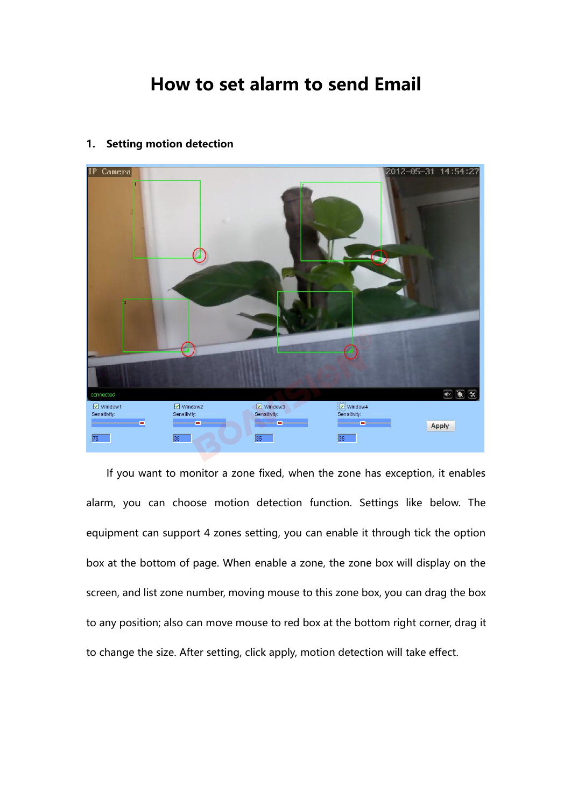# **How to set alarm to send Email**<br>motion detection



expression can support 4 zones setting, you can enable a zone, the zone box will display on the bottom of page. When enable a zone, the zone box will display on the support of page. When enable a zone, the zone box will di Box 386 and the box at the bottom of page. When enable a zone, the zone box, you can drag the box screen, and list zone number, moving mouse to this zone box, you can drag the box <sup>38</sup><br>If you want to monitor a zone fixed, when the zone has exception, it enables<br>alarm, you can choose motion detection function. Settings like below. The<br>equipment can support 4 zones setting, you can enable it through t If you want to monitor a zone fixed, when the zone has exception, it enables<br>alarm, you can choose motion detection function. Settings like below. The<br>equipment can support 4 zones setting, you can enable it through tick t alarm, you can choose motion detection function. Settings like below. The<br>equipment can support 4 zones setting, you can enable it through tick the option<br>box at the bottom of page. When enable a zone, the zone box will di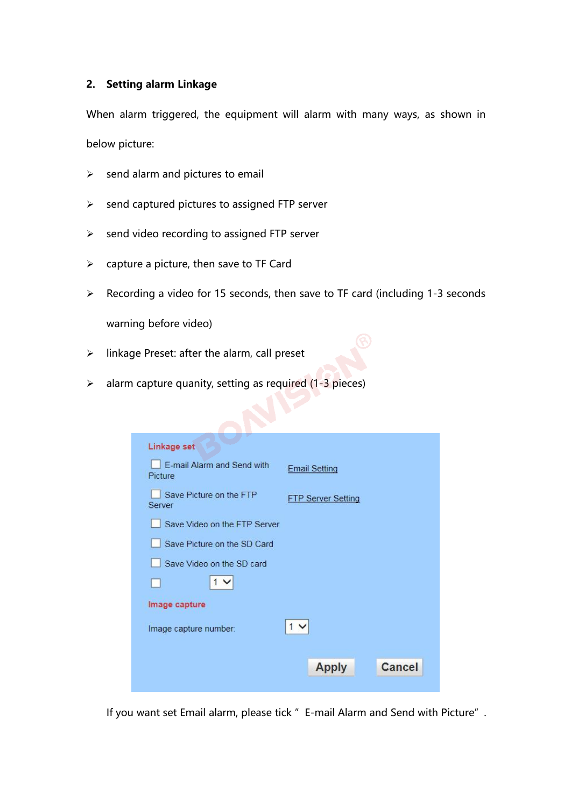**2. Setting alarm Linkage** 2. Setting alarm Linkage<br>When alarm triggered, the equipment will alarm with many ways, as shown in<br>below picture: 2. Setting alarm Linkage<br>When alarm triggered, the equipn<br>below picture:<br>> send alarm and pictures to ema **Setting alarm Linkage<br>When alarm triggered, the equipment will alarm with ma<br>below picture:<br>→ send alarm and pictures to email<br>→ send captured pictures to assigned FTP server** Summarian and pictures to equipment will alarm with many ways, as<br>shelow picture:<br>→ send alarm and pictures to email<br>→ send captured pictures to assigned FTP server<br>→ send video recording to assigned FTP server send video recording to assigned FTP server When alarm triggered, the equipment will alarm with many way<br>below picture:<br> $\triangleright$  send alarm and pictures to email<br> $\triangleright$  send captured pictures to assigned FTP server<br> $\triangleright$  send video recording to assigned FTP server<br>

- 
- send alarm and pictures to email<br>send captured pictures to assigned FTP serve<br>send video recording to assigned FTP server<br>capture a picture, then save to TF Card<br>Recording a video for 15 seconds, then save<br>warning before v
- 
- 
- Recording a video for 15 seconds, then save to TF card (including 1-3 seconds<br>
Recording a video for 15 seconds, then save to TF card (including 1-3 seconds<br>
Recording a video for 15 seconds, then save to TF card (includi inkage Preset: after the alarm, call preset was required to a signed FTP server<br>
⇒ send video recording to assigned FTP server<br>
⇒ capture a picture, then save to TF Card<br>
→ Recording a video for 15 seconds, then save to T A send video recording to assigned FTP server<br>
→ capture a picture, then save to TF Card<br>
→ Recording a video for 15 seconds, then save to TF card (including 1-3 second<br>
<br>
warning before video)<br>
→ linkage Preset: after th

- 
- 

| Save Picture on the FTP<br><b>FTP Server Setting</b><br>Server<br>Save Video on the FTP Server<br>Save Picture on the SD Card<br>Save Video on the SD card<br>1 <sub>1</sub><br>Image capture<br>1 <sup>2</sup><br>Image capture number:<br>Cancel<br><b>Apply</b> |                                                                                 | Linkage set<br>E-mail Alarm and Send with | <b>Email Setting</b> |  |
|--------------------------------------------------------------------------------------------------------------------------------------------------------------------------------------------------------------------------------------------------------------------|---------------------------------------------------------------------------------|-------------------------------------------|----------------------|--|
|                                                                                                                                                                                                                                                                    |                                                                                 | Picture                                   |                      |  |
|                                                                                                                                                                                                                                                                    |                                                                                 |                                           |                      |  |
|                                                                                                                                                                                                                                                                    |                                                                                 |                                           |                      |  |
|                                                                                                                                                                                                                                                                    | If you want set Email alarm, please tick " E-mail Alarm and Send with Picture". |                                           |                      |  |
|                                                                                                                                                                                                                                                                    |                                                                                 |                                           |                      |  |
|                                                                                                                                                                                                                                                                    |                                                                                 |                                           |                      |  |
|                                                                                                                                                                                                                                                                    |                                                                                 |                                           |                      |  |
|                                                                                                                                                                                                                                                                    |                                                                                 |                                           |                      |  |
|                                                                                                                                                                                                                                                                    |                                                                                 |                                           |                      |  |
|                                                                                                                                                                                                                                                                    |                                                                                 |                                           |                      |  |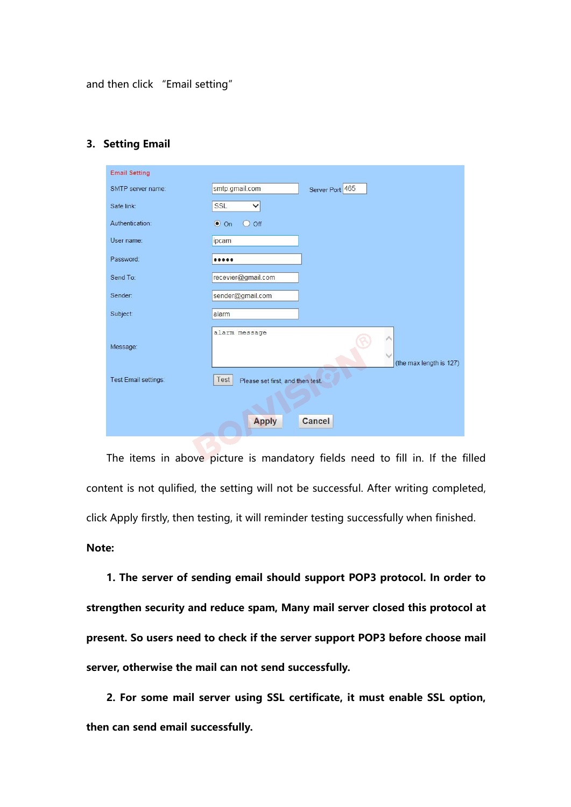and then click "Email setting"

| and then click "Email setting" |                                                                                         |
|--------------------------------|-----------------------------------------------------------------------------------------|
|                                |                                                                                         |
| 3. Setting Email               |                                                                                         |
| <b>Email Setting</b>           |                                                                                         |
| SMTP server name:              | smtp.gmail.com<br>Server Port 465                                                       |
| Safe link:                     | SSL<br>$\checkmark$                                                                     |
| Authentication:                | $\bullet$ On<br>$O$ off                                                                 |
| User name:                     | ipcam                                                                                   |
| Password:                      |                                                                                         |
| Send To:                       | recevier@gmail.com                                                                      |
| Sender:                        | sender@gmail.com                                                                        |
| Subject:                       | alarm                                                                                   |
| Message:                       | alarm message                                                                           |
|                                | (the max length is 127)                                                                 |
| Test Email settings:           | Test<br>Please set first, and then test.                                                |
|                                |                                                                                         |
|                                | <b>Apply</b><br><b>Cancel</b>                                                           |
|                                |                                                                                         |
|                                | The items in above picture is mandatory fields need to fill in. If the filled           |
|                                |                                                                                         |
|                                | content is not qulified, the setting will not be successful. After writing completed,   |
|                                | click Apply firstly, then testing, it will reminder testing successfully when finished. |
|                                |                                                                                         |

Test Email settings:<br>
Test Please set first, and then test.<br> **Cancel**<br>
The items in above picture is mandatory fields need to fill in. If the filled<br>
content is not qulified, the setting will not be successful. After writi **Note: 1. The server of sending email should support POP3** protocol. In order to fill in the filled ent is not quilified, the setting will not be successful. After writing completed, Apply firstly, then testing, it will reminder The items in above picture is mandatory fields need to fill in. If the filled<br>content is not qulified, the setting will not be successful. After writing completed,<br>click Apply firstly, then testing, it will reminder testin

Frequent is not quilified, the setting will not be successful. After writing completed,<br>click Apply firstly, then testing, it will reminder testing successfully when finished.<br>**Note:**<br>**1. The server of sending email should** click Apply firstly, then testing, it will reminder testing successfully whe<br> **Note:**<br> **1.** The server of sending email should support POP3 protocol.<br> **strengthen security and reduce spam, Many mail server closed this<br>
pre 2. The server of sending email should support POP3 protocol. In order to mythen security and reduce spam, Many mail server closed this protocol at sent. So users need to check if the server support POP3 before choose mail** 1. The server of sending email should supp<br>strengthen security and reduce spam, Many mai<br>present. So users need to check if the server sup<br>server, otherwise the mail can not send successf<br>2. For some mail server using SSL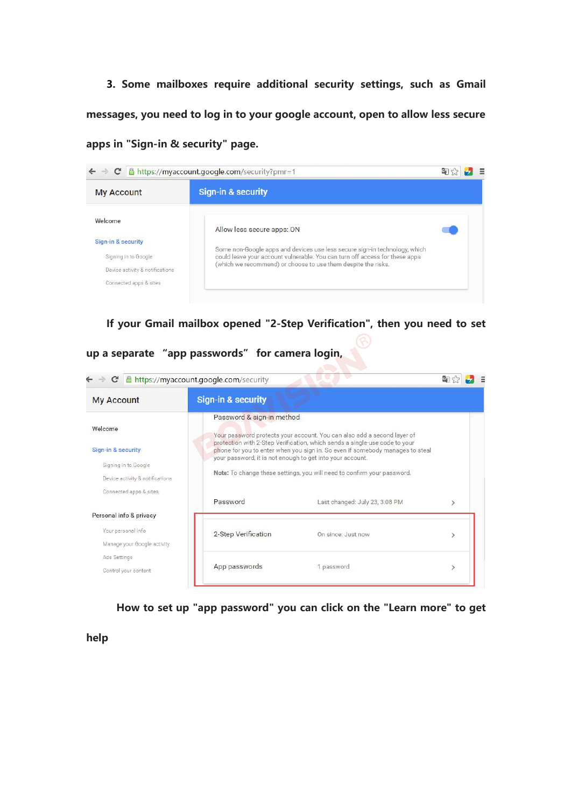**3. Some mailboxes require additional security settings, such as Gmail 3.** Some mailboxes require additional security settings, such as Gmail<br>messages, you need to log in to your google account, open to allow less secure<br>apps in "Sign-in & security" page. **3.** Some mailboxes require additional security se<br>messages, you need to log in to your google account, op<br>apps in "Sign-in & security" page.<br> $\leftarrow \rightarrow \text{C}$  Attps://myaccount.google.com/security?pmr=1



| <b>My Account</b>                                                                        | <b>Sign-in &amp; security</b>                                                          |                                                                                                                                                                                                                                                                                                                   |                              |
|------------------------------------------------------------------------------------------|----------------------------------------------------------------------------------------|-------------------------------------------------------------------------------------------------------------------------------------------------------------------------------------------------------------------------------------------------------------------------------------------------------------------|------------------------------|
| Welcome<br>Sign-in & security<br>Signing in to Google<br>Device activity & notifications | Password & sign-in method<br>your password, it is not enough to get into your account. | Your password protects your account. You can also add a second layer of<br>protection with 2-Step Verification, which sends a single-use code to your<br>phone for you to enter when you sign in. So even if somebody manages to steal<br>Note: To change these settings, you will need to confirm your password. |                              |
| Connected apps & sites<br>Personal info & privacy                                        | Password                                                                               | Last changed: July 23, 3:08 PM                                                                                                                                                                                                                                                                                    | $\geq$                       |
| Your personal info<br>Manage your Google activity                                        | 2-Step Verification                                                                    | On since: Just now                                                                                                                                                                                                                                                                                                | $\mathcal{P}$                |
| Ads Settings<br>Control your content                                                     | App passwords                                                                          | 1 password                                                                                                                                                                                                                                                                                                        | $\left\langle \right\rangle$ |
| help                                                                                     |                                                                                        | How to set up "app password" you can click on the "Learn more" to get                                                                                                                                                                                                                                             |                              |